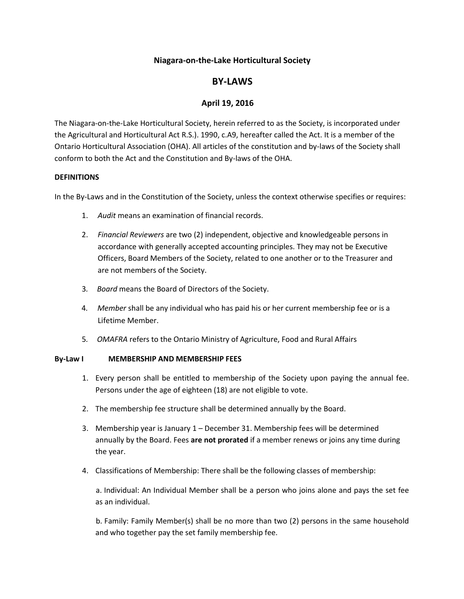# **Niagara-on-the-Lake Horticultural Society**

# **BY-LAWS**

## **April 19, 2016**

The Niagara-on-the-Lake Horticultural Society, herein referred to as the Society, is incorporated under the Agricultural and Horticultural Act R.S.). 1990, c.A9, hereafter called the Act. It is a member of the Ontario Horticultural Association (OHA). All articles of the constitution and by-laws of the Society shall conform to both the Act and the Constitution and By-laws of the OHA.

#### **DEFINITIONS**

In the By-Laws and in the Constitution of the Society, unless the context otherwise specifies or requires:

- 1. *Audit* means an examination of financial records.
- 2. *Financial Reviewers* are two (2) independent, objective and knowledgeable persons in accordance with generally accepted accounting principles. They may not be Executive Officers, Board Members of the Society, related to one another or to the Treasurer and are not members of the Society.
- 3*. Board* means the Board of Directors of the Society.
- 4*. Member* shall be any individual who has paid his or her current membership fee or is a Lifetime Member.
- 5*. OMAFRA* refers to the Ontario Ministry of Agriculture, Food and Rural Affairs

#### **By-Law I MEMBERSHIP AND MEMBERSHIP FEES**

- 1. Every person shall be entitled to membership of the Society upon paying the annual fee. Persons under the age of eighteen (18) are not eligible to vote.
- 2. The membership fee structure shall be determined annually by the Board.
- 3. Membership year is January 1 December 31. Membership fees will be determined annually by the Board. Fees **are not prorated** if a member renews or joins any time during the year.
- 4. Classifications of Membership: There shall be the following classes of membership:

a. Individual: An Individual Member shall be a person who joins alone and pays the set fee as an individual.

b. Family: Family Member(s) shall be no more than two (2) persons in the same household and who together pay the set family membership fee.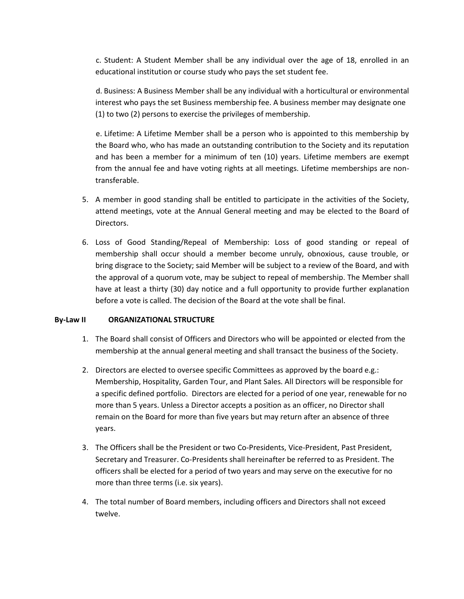c. Student: A Student Member shall be any individual over the age of 18, enrolled in an educational institution or course study who pays the set student fee.

d. Business: A Business Member shall be any individual with a horticultural or environmental interest who pays the set Business membership fee. A business member may designate one (1) to two (2) persons to exercise the privileges of membership.

e. Lifetime: A Lifetime Member shall be a person who is appointed to this membership by the Board who, who has made an outstanding contribution to the Society and its reputation and has been a member for a minimum of ten (10) years. Lifetime members are exempt from the annual fee and have voting rights at all meetings. Lifetime memberships are nontransferable.

- 5. A member in good standing shall be entitled to participate in the activities of the Society, attend meetings, vote at the Annual General meeting and may be elected to the Board of Directors.
- 6. Loss of Good Standing/Repeal of Membership: Loss of good standing or repeal of membership shall occur should a member become unruly, obnoxious, cause trouble, or bring disgrace to the Society; said Member will be subject to a review of the Board, and with the approval of a quorum vote, may be subject to repeal of membership. The Member shall have at least a thirty (30) day notice and a full opportunity to provide further explanation before a vote is called. The decision of the Board at the vote shall be final.

### **By-Law II ORGANIZATIONAL STRUCTURE**

- 1. The Board shall consist of Officers and Directors who will be appointed or elected from the membership at the annual general meeting and shall transact the business of the Society.
- 2. Directors are elected to oversee specific Committees as approved by the board e.g.: Membership, Hospitality, Garden Tour, and Plant Sales. All Directors will be responsible for a specific defined portfolio. Directors are elected for a period of one year, renewable for no more than 5 years. Unless a Director accepts a position as an officer, no Director shall remain on the Board for more than five years but may return after an absence of three years.
- 3. The Officers shall be the President or two Co-Presidents, Vice-President, Past President, Secretary and Treasurer. Co-Presidents shall hereinafter be referred to as President. The officers shall be elected for a period of two years and may serve on the executive for no more than three terms (i.e. six years).
- 4. The total number of Board members, including officers and Directors shall not exceed twelve.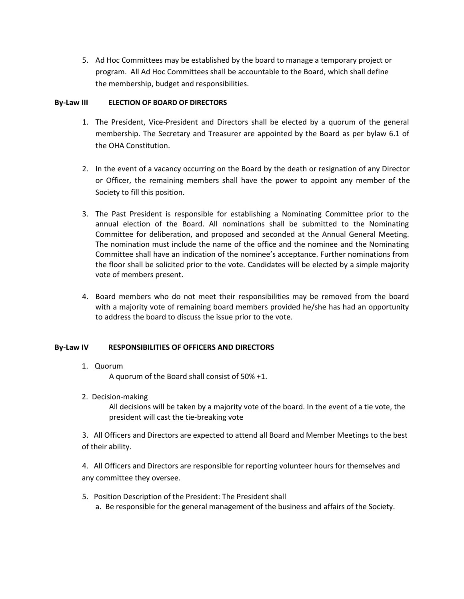5. Ad Hoc Committees may be established by the board to manage a temporary project or program. All Ad Hoc Committees shall be accountable to the Board, which shall define the membership, budget and responsibilities.

### **By-Law III ELECTION OF BOARD OF DIRECTORS**

- 1. The President, Vice-President and Directors shall be elected by a quorum of the general membership. The Secretary and Treasurer are appointed by the Board as per bylaw 6.1 of the OHA Constitution.
- 2. In the event of a vacancy occurring on the Board by the death or resignation of any Director or Officer, the remaining members shall have the power to appoint any member of the Society to fill this position.
- 3. The Past President is responsible for establishing a Nominating Committee prior to the annual election of the Board. All nominations shall be submitted to the Nominating Committee for deliberation, and proposed and seconded at the Annual General Meeting. The nomination must include the name of the office and the nominee and the Nominating Committee shall have an indication of the nominee's acceptance. Further nominations from the floor shall be solicited prior to the vote. Candidates will be elected by a simple majority vote of members present.
- 4. Board members who do not meet their responsibilities may be removed from the board with a majority vote of remaining board members provided he/she has had an opportunity to address the board to discuss the issue prior to the vote.

# **By-Law IV RESPONSIBILITIES OF OFFICERS AND DIRECTORS**

1. Quorum

A quorum of the Board shall consist of 50% +1.

2. Decision-making

All decisions will be taken by a majority vote of the board. In the event of a tie vote, the president will cast the tie-breaking vote

3. All Officers and Directors are expected to attend all Board and Member Meetings to the best of their ability.

4. All Officers and Directors are responsible for reporting volunteer hours for themselves and any committee they oversee.

5. Position Description of the President: The President shall a. Be responsible for the general management of the business and affairs of the Society.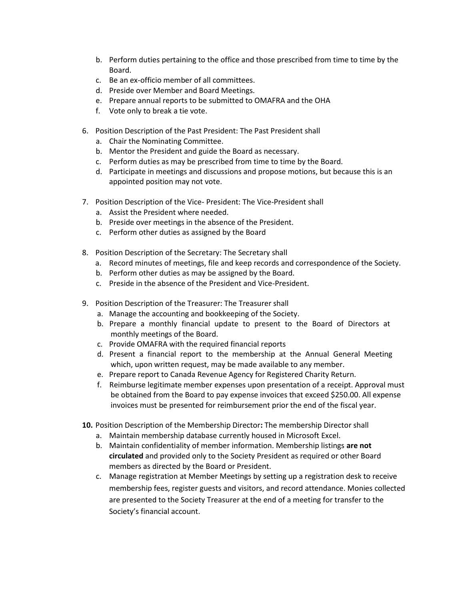- b. Perform duties pertaining to the office and those prescribed from time to time by the Board.
- c. Be an ex-officio member of all committees.
- d. Preside over Member and Board Meetings.
- e. Prepare annual reports to be submitted to OMAFRA and the OHA
- f. Vote only to break a tie vote.
- 6. Position Description of the Past President: The Past President shall
	- a. Chair the Nominating Committee.
	- b. Mentor the President and guide the Board as necessary.
	- c. Perform duties as may be prescribed from time to time by the Board.
	- d. Participate in meetings and discussions and propose motions, but because this is an appointed position may not vote.
- 7. Position Description of the Vice- President: The Vice-President shall
	- a. Assist the President where needed.
	- b. Preside over meetings in the absence of the President.
	- c. Perform other duties as assigned by the Board
- 8. Position Description of the Secretary: The Secretary shall
	- a. Record minutes of meetings, file and keep records and correspondence of the Society.
	- b. Perform other duties as may be assigned by the Board.
	- c. Preside in the absence of the President and Vice-President.
- 9. Position Description of the Treasurer: The Treasurer shall
	- a. Manage the accounting and bookkeeping of the Society.
	- b. Prepare a monthly financial update to present to the Board of Directors at monthly meetings of the Board.
	- c. Provide OMAFRA with the required financial reports
	- d. Present a financial report to the membership at the Annual General Meeting which, upon written request, may be made available to any member.
	- e. Prepare report to Canada Revenue Agency for Registered Charity Return.
	- f. Reimburse legitimate member expenses upon presentation of a receipt. Approval must be obtained from the Board to pay expense invoices that exceed \$250.00. All expense invoices must be presented for reimbursement prior the end of the fiscal year.
- **10.** Position Description of the Membership Director**:** The membership Director shall
	- a. Maintain membership database currently housed in Microsoft Excel.
	- b. Maintain confidentiality of member information. Membership listings **are not circulated** and provided only to the Society President as required or other Board members as directed by the Board or President.
	- c. Manage registration at Member Meetings by setting up a registration desk to receive membership fees, register guests and visitors, and record attendance. Monies collected are presented to the Society Treasurer at the end of a meeting for transfer to the Society's financial account.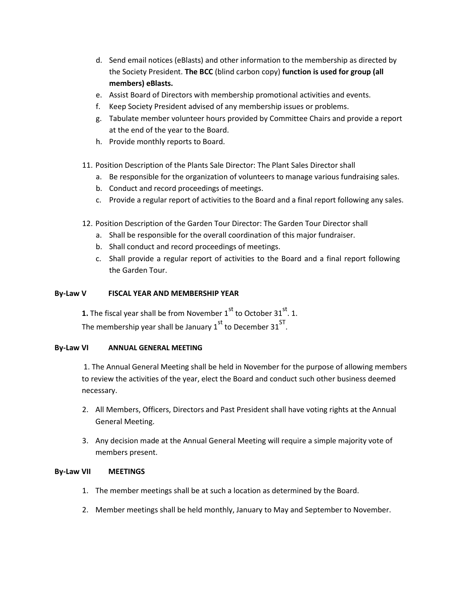- d. Send email notices (eBlasts) and other information to the membership as directed by the Society President. **The BCC** (blind carbon copy) **function is used for group (all members) eBlasts.**
- e. Assist Board of Directors with membership promotional activities and events.
- f. Keep Society President advised of any membership issues or problems.
- g. Tabulate member volunteer hours provided by Committee Chairs and provide a report at the end of the year to the Board.
- h. Provide monthly reports to Board.
- 11. Position Description of the Plants Sale Director: The Plant Sales Director shall
	- a. Be responsible for the organization of volunteers to manage various fundraising sales.
	- b. Conduct and record proceedings of meetings.
	- c. Provide a regular report of activities to the Board and a final report following any sales.
- 12. Position Description of the Garden Tour Director: The Garden Tour Director shall
	- a. Shall be responsible for the overall coordination of this major fundraiser.
	- b. Shall conduct and record proceedings of meetings.
	- c. Shall provide a regular report of activities to the Board and a final report following the Garden Tour.

### **By-Law V FISCAL YEAR AND MEMBERSHIP YEAR**

**1.** The fiscal year shall be from November  $1^{\text{st}}$  to October 31 $^{\text{st}}$ . 1. The membership year shall be January 1<sup>st</sup> to December 31<sup>ST</sup>.

### **By-Law VI ANNUAL GENERAL MEETING**

1. The Annual General Meeting shall be held in November for the purpose of allowing members to review the activities of the year, elect the Board and conduct such other business deemed necessary.

- 2. All Members, Officers, Directors and Past President shall have voting rights at the Annual General Meeting.
- 3. Any decision made at the Annual General Meeting will require a simple majority vote of members present.

### **By-Law VII MEETINGS**

- 1. The member meetings shall be at such a location as determined by the Board.
- 2. Member meetings shall be held monthly, January to May and September to November.